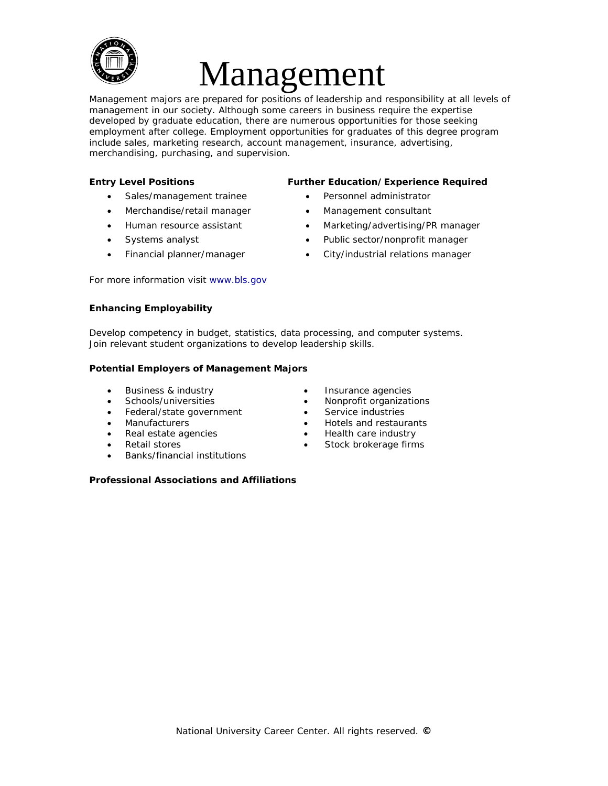

# Management

Management majors are prepared for positions of leadership and responsibility at all levels of management in our society. Although some careers in business require the expertise developed by graduate education, there are numerous opportunities for those seeking employment after college. Employment opportunities for graduates of this degree program include sales, marketing research, account management, insurance, advertising, merchandising, purchasing, and supervision.

- Sales/management trainee Personnel administrator
- Merchandise/retail manager Management consultant
- 
- 
- 

#### **Entry Level Positions Further Education/Experience Required**

- 
- 
- Human resource assistant Marketing/advertising/PR manager
	- Systems analyst **•** Public sector/nonprofit manager
- Financial planner/manager City/industrial relations manager

For more information visit [www.bls.gov](http://www.bls.gov/) 

## **Enhancing Employability**

Develop competency in budget, statistics, data processing, and computer systems. Join relevant student organizations to develop leadership skills.

## **Potential Employers of Management Majors**

- Business & industry
- Schools/universities
- Federal/state government
- Manufacturers
- Real estate agencies
- Retail stores
- Banks/financial institutions

#### **Professional Associations and Affiliations**

- Insurance agencies
- Nonprofit organizations
- Service industries
- Hotels and restaurants
- Health care industry
- Stock brokerage firms